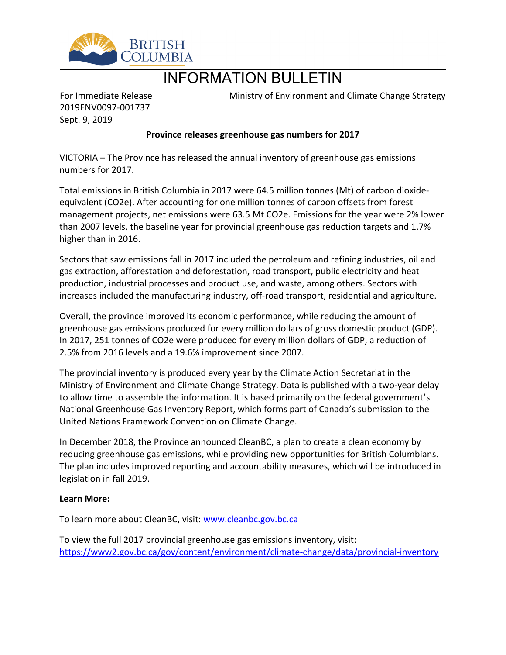

## INFORMATION BULLETIN

For Immediate Release 2019ENV0097-001737 Sept. 9, 2019

Ministry of Environment and Climate Change Strategy

## **Province releases greenhouse gas numbers for 2017**

VICTORIA – The Province has released the annual inventory of greenhouse gas emissions numbers for 2017.

Total emissions in British Columbia in 2017 were 64.5 million tonnes (Mt) of carbon dioxideequivalent (CO2e). After accounting for one million tonnes of carbon offsets from forest management projects, net emissions were 63.5 Mt CO2e. Emissions for the year were 2% lower than 2007 levels, the baseline year for provincial greenhouse gas reduction targets and 1.7% higher than in 2016.

Sectors that saw emissions fall in 2017 included the petroleum and refining industries, oil and gas extraction, afforestation and deforestation, road transport, public electricity and heat production, industrial processes and product use, and waste, among others. Sectors with increases included the manufacturing industry, off-road transport, residential and agriculture.

Overall, the province improved its economic performance, while reducing the amount of greenhouse gas emissions produced for every million dollars of gross domestic product (GDP). In 2017, 251 tonnes of CO2e were produced for every million dollars of GDP, a reduction of 2.5% from 2016 levels and a 19.6% improvement since 2007.

The provincial inventory is produced every year by the Climate Action Secretariat in the Ministry of Environment and Climate Change Strategy. Data is published with a two-year delay to allow time to assemble the information. It is based primarily on the federal government's National Greenhouse Gas Inventory Report, which forms part of Canada's submission to the United Nations Framework Convention on Climate Change.

In December 2018, the Province announced CleanBC, a plan to create a clean economy by reducing greenhouse gas emissions, while providing new opportunities for British Columbians. The plan includes improved reporting and accountability measures, which will be introduced in legislation in fall 2019.

## **Learn More:**

To learn more about CleanBC, visit: [www.cleanbc.gov.bc.ca](http://www.cleanbc.gov.bc.ca/)

To view the full 2017 provincial greenhouse gas emissions inventory, visit: <https://www2.gov.bc.ca/gov/content/environment/climate-change/data/provincial-inventory>